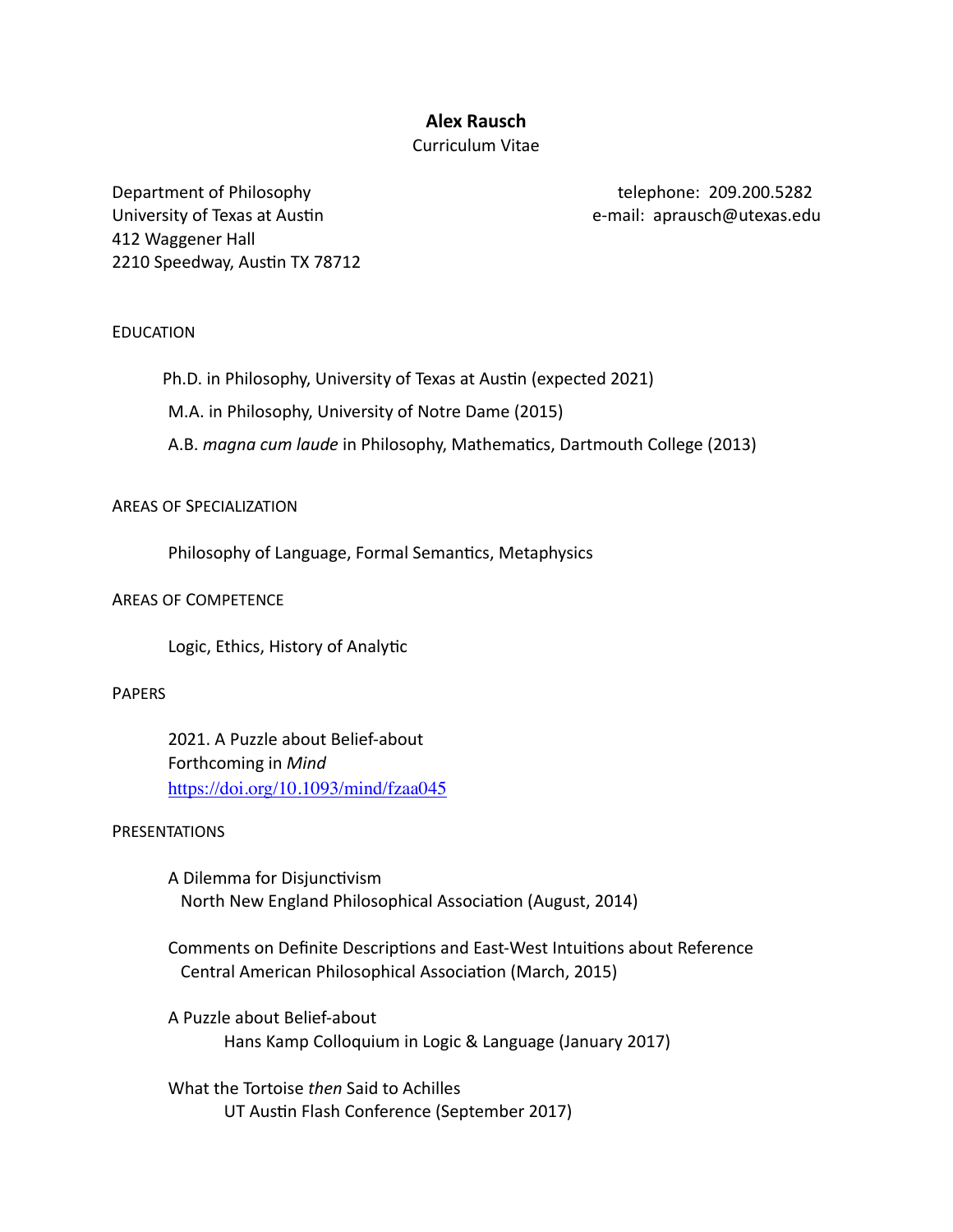# **Alex Rausch**

## Curriculum Vitae

Department of Philosophy telephone: 209.200.5282 University of Texas at Austin example and the state of the e-mail: aprausch@utexas.edu 412 Waggener Hall 2210 Speedway, Austin TX 78712

## EDUCATION

Ph.D. in Philosophy, University of Texas at Austin (expected 2021)

M.A. in Philosophy, University of Notre Dame (2015)

A.B. *magna cum laude* in Philosophy, Mathematics, Dartmouth College (2013)

#### AREAS OF SPECIALIZATION

Philosophy of Language, Formal Semantics, Metaphysics

## AREAS OF COMPETENCE

Logic, Ethics, History of Analytic

## PAPERS

2021. A Puzzle about Belief-about Forthcoming in *Mind* <https://doi.org/10.1093/mind/fzaa045>

#### PRESENTATIONS

A Dilemma for Disjunctivism North New England Philosophical Association (August, 2014)

Comments on Definite Descriptions and East-West Intuitions about Reference Central American Philosophical Association (March, 2015)

A Puzzle about Belief-about Hans Kamp Colloquium in Logic & Language (January 2017)

What the Tortoise *then* Said to Achilles UT Austin Flash Conference (September 2017)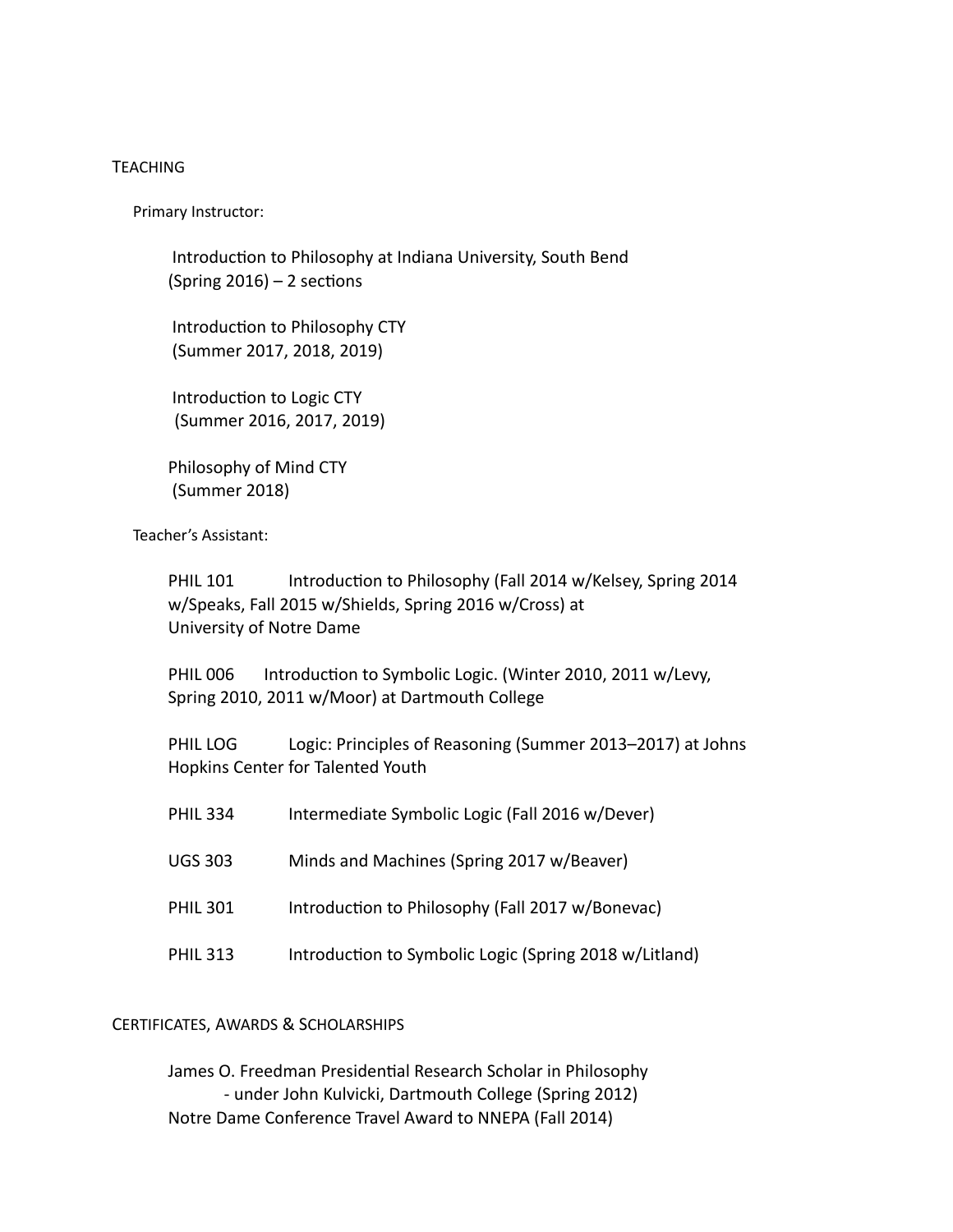## TEACHING

Primary Instructor:

Introduction to Philosophy at Indiana University, South Bend (Spring  $2016$ ) – 2 sections

Introduction to Philosophy CTY (Summer 2017, 2018, 2019)

Introduction to Logic CTY (Summer 2016, 2017, 2019)

 Philosophy of Mind CTY (Summer 2018)

Teacher's Assistant:

PHIL 101 Introduction to Philosophy (Fall 2014 w/Kelsey, Spring 2014 w/Speaks, Fall 2015 w/Shields, Spring 2016 w/Cross) at University of Notre Dame

PHIL 006 Introduction to Symbolic Logic. (Winter 2010, 2011 w/Levy, Spring 2010, 2011 w/Moor) at Dartmouth College

PHIL LOG Logic: Principles of Reasoning (Summer 2013–2017) at Johns Hopkins Center for Talented Youth

| <b>PHIL 334</b> | Intermediate Symbolic Logic (Fall 2016 w/Dever)        |
|-----------------|--------------------------------------------------------|
| <b>UGS 303</b>  | Minds and Machines (Spring 2017 w/Beaver)              |
| <b>PHIL 301</b> | Introduction to Philosophy (Fall 2017 w/Bonevac)       |
| <b>PHIL 313</b> | Introduction to Symbolic Logic (Spring 2018 w/Litland) |

## CERTIFICATES, AWARDS & SCHOLARSHIPS

James O. Freedman Presidential Research Scholar in Philosophy - under John Kulvicki, Dartmouth College (Spring 2012) Notre Dame Conference Travel Award to NNEPA (Fall 2014)